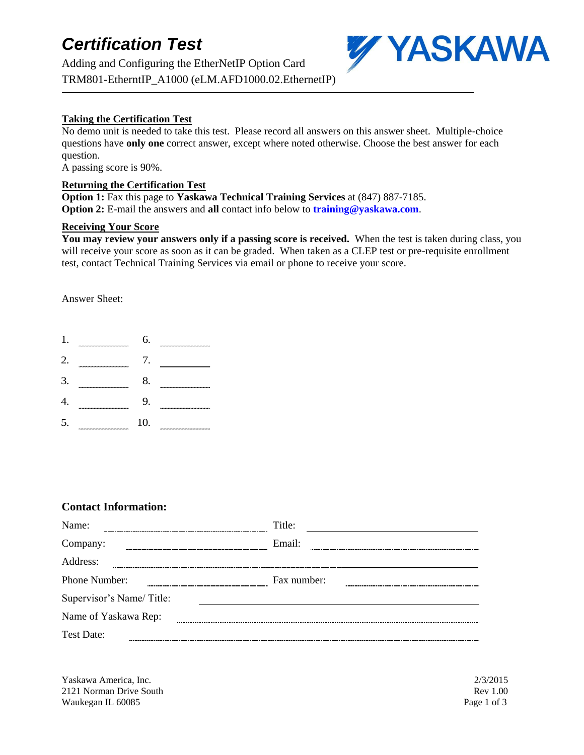## *Certification Test*

Adding and Configuring the EtherNetIP Option Card TRM801-EtherntIP\_A1000 (eLM.AFD1000.02.EthernetIP)



### **Taking the Certification Test**

No demo unit is needed to take this test. Please record all answers on this answer sheet. Multiple-choice questions have **only one** correct answer, except where noted otherwise. Choose the best answer for each question.

A passing score is 90%.

#### **Returning the Certification Test**

**Option 1:** Fax this page to **Yaskawa Technical Training Services** at (847) 887-7185. **Option 2:** E-mail the answers and **all** contact info below to **training@yaskawa.com**.

#### **Receiving Your Score**

**You may review your answers only if a passing score is received.** When the test is taken during class, you will receive your score as soon as it can be graded. When taken as a CLEP test or pre-requisite enrollment test, contact Technical Training Services via email or phone to receive your score.

Answer Sheet:

- 1. 6.
- 2. 7.
- 3. 8.
- 4. 9.
- 5. 10.

### **Contact Information:**

| Name:                    | Title:      |
|--------------------------|-------------|
| Company:                 | Email:      |
| Address:                 |             |
| Phone Number:            | Fax number: |
| Supervisor's Name/Title: |             |
| Name of Yaskawa Rep:     |             |
| Test Date:               |             |

Yaskawa America, Inc. 2/3/2015 2121 Norman Drive South Rev 1.00 Waukegan IL 60085 Page 1 of 3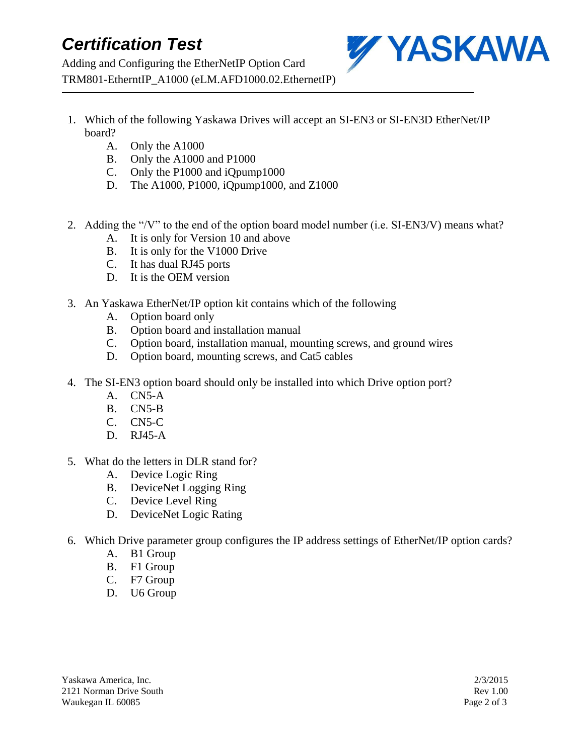## *Certification Test*

Adding and Configuring the EtherNetIP Option Card TRM801-EtherntIP\_A1000 (eLM.AFD1000.02.EthernetIP)



- 1. Which of the following Yaskawa Drives will accept an SI-EN3 or SI-EN3D EtherNet/IP board?
	- A. Only the A1000
	- B. Only the A1000 and P1000
	- C. Only the P1000 and iQpump1000
	- D. The A1000, P1000, iQpump1000, and Z1000
- 2. Adding the "/V" to the end of the option board model number (i.e. SI-EN3/V) means what?
	- A. It is only for Version 10 and above
	- B. It is only for the V1000 Drive
	- C. It has dual RJ45 ports
	- D. It is the OEM version
- 3. An Yaskawa EtherNet/IP option kit contains which of the following
	- A. Option board only
	- B. Option board and installation manual
	- C. Option board, installation manual, mounting screws, and ground wires
	- D. Option board, mounting screws, and Cat5 cables
- 4. The SI-EN3 option board should only be installed into which Drive option port?
	- A. CN5-A
	- B. CN5-B
	- C. CN5-C
	- D. RJ45-A
- 5. What do the letters in DLR stand for?
	- A. Device Logic Ring
	- B. DeviceNet Logging Ring
	- C. Device Level Ring
	- D. DeviceNet Logic Rating
- 6. Which Drive parameter group configures the IP address settings of EtherNet/IP option cards?
	- A. B1 Group
	- B. F1 Group
	- C. F7 Group
	- D. U6 Group